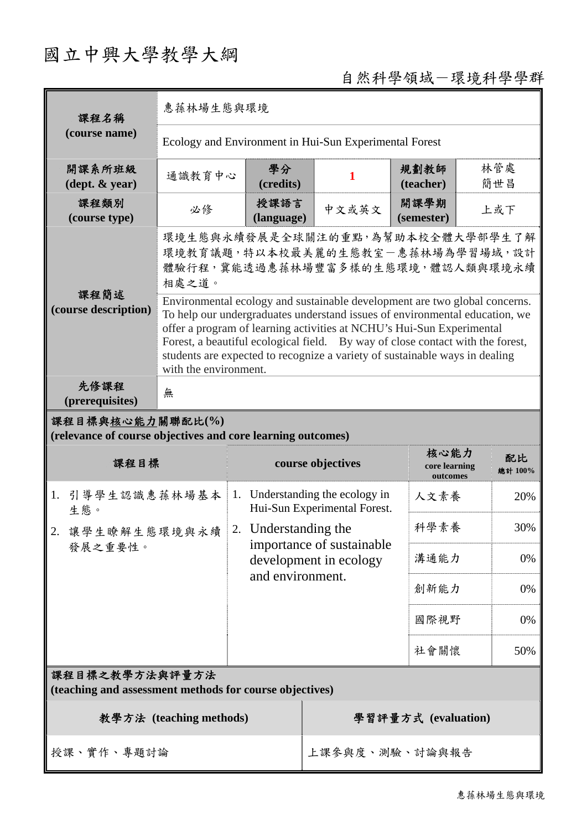# 國立中興大學教學大綱

## 自然科學領域-環境科學學群

| 課程名稱                                                                            | 惠蓀林場生態與環境                                                                                                                                                                                                                                                                                                                                                                                                                    |                    |                                                              |                                   |               |
|---------------------------------------------------------------------------------|------------------------------------------------------------------------------------------------------------------------------------------------------------------------------------------------------------------------------------------------------------------------------------------------------------------------------------------------------------------------------------------------------------------------------|--------------------|--------------------------------------------------------------|-----------------------------------|---------------|
| (course name)                                                                   | Ecology and Environment in Hui-Sun Experimental Forest                                                                                                                                                                                                                                                                                                                                                                       |                    |                                                              |                                   |               |
| 開課系所班級<br>$(\text{dept.} \& \text{ year})$                                      | 通識教育中心                                                                                                                                                                                                                                                                                                                                                                                                                       | 學分<br>(credits)    | 1                                                            | 規劃教師<br>(teacher)                 | 林管處<br>簡世昌    |
| 課程類別<br>(course type)                                                           | 必修                                                                                                                                                                                                                                                                                                                                                                                                                           | 授課語言<br>(language) | 中文或英文                                                        | 開課學期<br>(semester)                | 上或下           |
|                                                                                 | 環境生態與永續發展是全球關注的重點,為幫助本校全體大學部學生了解<br>環境教育議題,特以本校最美麗的生態教室一惠蓀林場為學習場域,設計<br>體驗行程,冀能透過惠蓀林場豐富多樣的生態環境,體認人類與環境永續<br>相處之道。                                                                                                                                                                                                                                                                                                            |                    |                                                              |                                   |               |
| 課程簡述<br>(course description)                                                    | Environmental ecology and sustainable development are two global concerns.<br>To help our undergraduates understand issues of environmental education, we<br>offer a program of learning activities at NCHU's Hui-Sun Experimental<br>Forest, a beautiful ecological field. By way of close contact with the forest,<br>students are expected to recognize a variety of sustainable ways in dealing<br>with the environment. |                    |                                                              |                                   |               |
| 先修課程<br>(prerequisites)                                                         | 無                                                                                                                                                                                                                                                                                                                                                                                                                            |                    |                                                              |                                   |               |
| 課程目標與核心能力關聯配比(%)<br>(relevance of course objectives and core learning outcomes) |                                                                                                                                                                                                                                                                                                                                                                                                                              |                    |                                                              |                                   |               |
|                                                                                 |                                                                                                                                                                                                                                                                                                                                                                                                                              |                    |                                                              |                                   |               |
| 課程目標                                                                            |                                                                                                                                                                                                                                                                                                                                                                                                                              |                    | course objectives                                            | 核心能力<br>core learning<br>outcomes | 配比<br>總計 100% |
| 引導學生認識惠蓀林場基本<br>1.<br>生態。                                                       | 1.                                                                                                                                                                                                                                                                                                                                                                                                                           |                    | Understanding the ecology in<br>Hui-Sun Experimental Forest. | 人文素養                              | 20%           |
| 讓學生瞭解生態環境與永續                                                                    | 2.                                                                                                                                                                                                                                                                                                                                                                                                                           | Understanding the  |                                                              | 科學素養                              | 30%           |
| 發展之重要性。                                                                         |                                                                                                                                                                                                                                                                                                                                                                                                                              |                    | importance of sustainable<br>development in ecology          | 溝通能力                              | 0%            |
|                                                                                 |                                                                                                                                                                                                                                                                                                                                                                                                                              | and environment.   |                                                              | 創新能力                              | 0%            |
|                                                                                 |                                                                                                                                                                                                                                                                                                                                                                                                                              |                    |                                                              | 國際視野                              | 0%            |
|                                                                                 |                                                                                                                                                                                                                                                                                                                                                                                                                              |                    |                                                              | 社會關懷                              | 50%           |
| 課程目標之教學方法與評量方法<br>(teaching and assessment methods for course objectives)       |                                                                                                                                                                                                                                                                                                                                                                                                                              |                    |                                                              |                                   |               |
|                                                                                 | 教學方法 (teaching methods)                                                                                                                                                                                                                                                                                                                                                                                                      |                    |                                                              | 學習評量方式 (evaluation)               |               |